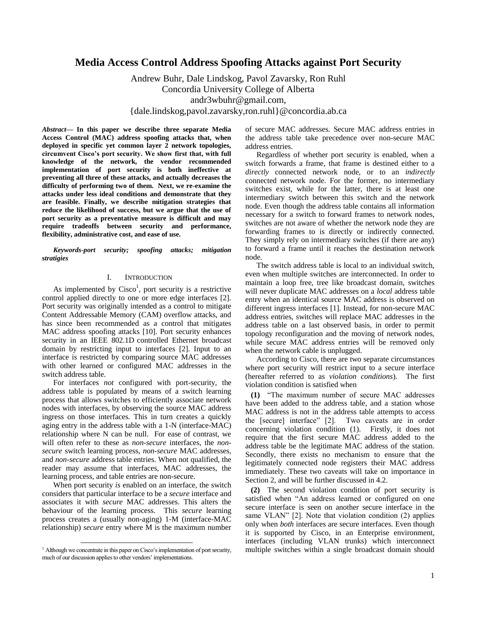# **Media Access Control Address Spoofing Attacks against Port Security**

Andrew Buhr, Dale Lindskog, Pavol Zavarsky, Ron Ruhl Concordia University College of Alberta andr3wbuhr@gmail.com, {dale.lindskog,pavol.zavarsky,ron.ruhl}@concordia.ab.ca

*Abstract***— In this paper we describe three separate Media Access Control (MAC) address spoofing attacks that, when deployed in specific yet common layer 2 network topologies, circumvent Cisco's port security. We show first that, with full knowledge of the network, the vendor recommended implementation of port security is both ineffective at preventing all three of these attacks, and actually decreases the difficulty of performing two of them. Next, we re-examine the attacks under less ideal conditions and demonstrate that they are feasible. Finally, we describe mitigation strategies that reduce the likelihood of success, but we argue that the use of port security as a preventative measure is difficult and may require tradeoffs between security and performance, flexibility, administrative cost, and ease of use.**

*Keywords-port security; spoofing attacks; mitigation stratigies*

## I. INTRODUCTION

As implemented by  $Cisco<sup>1</sup>$ , port security is a restrictive control applied directly to one or more edge interfaces [2]. Port security was originally intended as a control to mitigate Content Addressable Memory (CAM) overflow attacks, and has since been recommended as a control that mitigates MAC address spoofing attacks [10]. Port security enhances security in an IEEE 802.1D controlled Ethernet broadcast domain by restricting input to interfaces [2]. Input to an interface is restricted by comparing source MAC addresses with other learned or configured MAC addresses in the switch address table.

For interfaces *not* configured with port-security, the address table is populated by means of a switch learning process that allows switches to efficiently associate network nodes with interfaces, by observing the source MAC address ingress on those interfaces. This in turn creates a quickly aging entry in the address table with a 1-N (interface-MAC) relationship where N can be null. For ease of contrast, we will often refer to these as *non-secure* interfaces, the *nonsecure* switch learning process, *non-secure* MAC addresses, and *non-secure* address table entries. When not qualified, the reader may assume that interfaces, MAC addresses, the learning process, and table entries are non-secure.

When port security *is* enabled on an interface, the switch considers that particular interface to be a *secure* interface and associates it with *secure* MAC addresses. This alters the behaviour of the learning process. This *secure* learning process creates a (usually non-aging) 1-M (interface-MAC relationship) *secure* entry where M is the maximum number

l

of secure MAC addresses. Secure MAC address entries in the address table take precedence over non-secure MAC address entries.

Regardless of whether port security is enabled, when a switch forwards a frame, that frame is destined either to a *directly* connected network node, or to an *indirectly* connected network node. For the former, no intermediary switches exist, while for the latter, there is at least one intermediary switch between this switch and the network node. Even though the address table contains all information necessary for a switch to forward frames to network nodes, switches are not aware of whether the network node they are forwarding frames to is directly or indirectly connected. They simply rely on intermediary switches (if there are any) to forward a frame until it reaches the destination network node.

The switch address table is local to an individual switch, even when multiple switches are interconnected. In order to maintain a loop free, tree like broadcast domain, switches will never duplicate MAC addresses on a *local* address table entry when an identical source MAC address is observed on different ingress interfaces [1]. Instead, for non-secure MAC address entries, switches will replace MAC addresses in the address table on a last observed basis, in order to permit topology reconfiguration and the moving of network nodes, while secure MAC address entries will be removed only when the network cable is unplugged.

According to Cisco, there are two separate circumstances where port security will restrict input to a secure interface (hereafter referred to as *violation conditions*). The first violation condition is satisfied when

**(1)** "The maximum number of secure MAC addresses have been added to the address table, and a station whose MAC address is not in the address table attempts to access the [secure] interface" [2]. Two caveats are in order concerning violation condition (1). Firstly, it does not require that the first secure MAC address added to the address table be the legitimate MAC address of the station. Secondly, there exists no mechanism to ensure that the legitimately connected node registers their MAC address immediately. These two caveats will take on importance in Section 2, and will be further discussed in 4.2.

**(2)** The second violation condition of port security is satisfied when "An address learned or configured on one secure interface is seen on another secure interface in the same VLAN" [2]. Note that violation condition (2) applies only when *both* interfaces are secure interfaces. Even though it is supported by Cisco, in an Enterprise environment, interfaces (including VLAN trunks) which interconnect multiple switches within a single broadcast domain should

 $<sup>1</sup>$  Although we concentrate in this paper on Cisco's implementation of port security,</sup> much of our discussion applies to other vendors' implementations.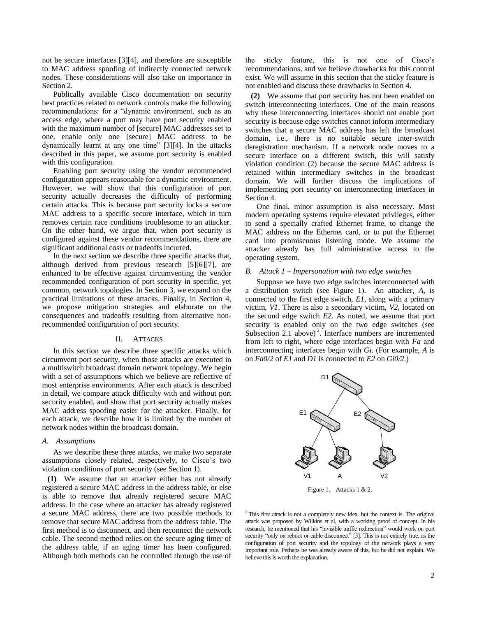not be secure interfaces [3][4], and therefore are susceptible to MAC address spoofing of indirectly connected network nodes. These considerations will also take on importance in Section 2.

Publically available Cisco documentation on security best practices related to network controls make the following recommendations: for a "dynamic environment, such as an access edge, where a port may have port security enabled with the maximum number of [secure] MAC addresses set to one, enable only one [secure] MAC address to be dynamically learnt at any one time" [3][4]. In the attacks described in this paper, we assume port security is enabled with this configuration.

Enabling port security using the vendor recommended configuration appears reasonable for a dynamic environment. However, we will show that this configuration of port security actually decreases the difficulty of performing certain attacks. This is because port security locks a secure MAC address to a specific secure interface, which in turn removes certain race conditions troublesome to an attacker. On the other hand, we argue that, when port security is configured against these vendor recommendations, there are significant additional costs or tradeoffs incurred.

In the next section we describe three specific attacks that, although derived from previous research [5][6][7], are enhanced to be effective against circumventing the vendor recommended configuration of port security in specific, yet common, network topologies. In Section 3, we expand on the practical limitations of these attacks. Finally, in Section 4, we propose mitigation strategies and elaborate on the consequences and tradeoffs resulting from alternative nonrecommended configuration of port security.

#### II. ATTACKS

In this section we describe three specific attacks which circumvent port security, when those attacks are executed in a multiswitch broadcast domain network topology. We begin with a set of assumptions which we believe are reflective of most enterprise environments. After each attack is described in detail, we compare attack difficulty with and without port security enabled, and show that port security actually makes MAC address spoofing easier for the attacker. Finally, for each attack, we describe how it is limited by the number of network nodes within the broadcast domain.

#### *A. Assumptions*

As we describe these three attacks, we make two separate assumptions closely related, respectively, to Cisco's two violation conditions of port security (see Section 1).

**(1)** We assume that an attacker either has not already registered a secure MAC address in the address table, or else is able to remove that already registered secure MAC address. In the case where an attacker has already registered a secure MAC address, there are two possible methods to remove that secure MAC address from the address table. The first method is to disconnect, and then reconnect the network cable. The second method relies on the secure aging timer of the address table, if an aging timer has been configured. Although both methods can be controlled through the use of

the sticky feature, this is not one of Cisco's recommendations, and we believe drawbacks for this control exist. We will assume in this section that the sticky feature is not enabled and discuss these drawbacks in Section 4.

**(2)** We assume that port security has not been enabled on switch interconnecting interfaces. One of the main reasons why these interconnecting interfaces should not enable port security is because edge switches cannot inform intermediary switches that a secure MAC address has left the broadcast domain, i.e., there is no suitable secure inter-switch deregistration mechanism. If a network node moves to a secure interface on a different switch, this will satisfy violation condition (2) because the secure MAC address is retained within intermediary switches in the broadcast domain. We will further discuss the implications of implementing port security on interconnecting interfaces in Section 4.

One final, minor assumption is also necessary. Most modern operating systems require elevated privileges, either to send a specially crafted Ethernet frame, to change the MAC address on the Ethernet card, or to put the Ethernet card into promiscuous listening mode. We assume the attacker already has full administrative access to the operating system.

#### *B. Attack 1 – Impersonation with two edge switches*

Suppose we have two edge switches interconnected with a distribution switch (see Figure 1). An attacker, *A*, is connected to the first edge switch, *E1*, along with a primary victim, *V1*. There is also a secondary victim, *V2*, located on the second edge switch *E2*. As noted, we assume that port security is enabled only on the two edge switches (see Subsection 2.1 above)<sup>2</sup>. Interface numbers are incremented from left to right, where edge interfaces begin with *Fa* and interconnecting interfaces begin with *Gi*. (For example, *A* is on *Fa0/2* of *E1* and *D1* is connected to *E2* on *Gi0/2.*)



 $2$ <sup>2</sup> This first attack is not a completely new idea, but the context is. The original attack was proposed by Wilkins et al, with a working proof of concept. In his research, he mentioned that his "invisible traffic redirection" would work on port security "only on reboot or cable disconnect" [5]. This is not entirely true, as the configuration of port security and the topology of the network plays a very important role. Perhaps he was already aware of this, but he did not explain. We believe this is worth the explanation.

 $\overline{a}$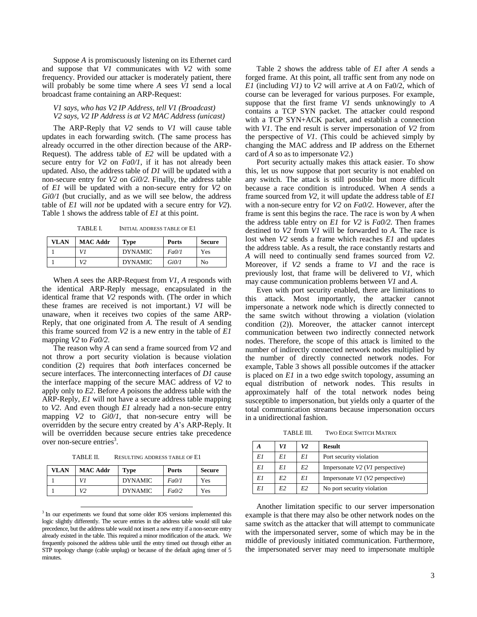Suppose *A* is promiscuously listening on its Ethernet card and suppose that *V1* communicates with *V2* with some frequency. Provided our attacker is moderately patient, there will probably be some time where *A* sees *V1* send a local broadcast frame containing an ARP-Request:

*V1 says, who has V2 IP Address, tell V1 (Broadcast) V2 says, V2 IP Address is at V2 MAC Address (unicast)*

The ARP-Reply that *V2* sends to *V1* will cause table updates in each forwarding switch. (The same process has already occurred in the other direction because of the ARP-Request). The address table of *E2* will be updated with a secure entry for *V2* on *Fa0/1*, if it has not already been updated. Also, the address table of *D1* will be updated with a non-secure entry for *V2* on *Gi0/2*. Finally, the address table of *E1* will be updated with a non-secure entry for *V2* on *Gi0/1* (but crucially, and as we will see below, the address table of *E1* will *not* be updated with a secure entry for *V2*). Table 1 shows the address table of *E1* at this point.

TABLE I. INITIAL ADDRESS TABLE OF E1

| <b>VLAN</b> | <b>MAC Addr</b> | <b>Type</b>    | <b>Ports</b> | <b>Secure</b> |
|-------------|-----------------|----------------|--------------|---------------|
|             | V1              | <b>DYNAMIC</b> | Fa0/1        | Yes           |
|             | V <sub>2</sub>  | <b>DYNAMIC</b> | Gi0/1        | No            |

When *A* sees the ARP-Request from *V1*, *A* responds with the identical ARP-Reply message, encapsulated in the identical frame that *V2* responds with. (The order in which these frames are received is not important.) *V1* will be unaware, when it receives two copies of the same ARP-Reply, that one originated from *A*. The result of *A* sending this frame sourced from *V2* is a new entry in the table of *E1* mapping *V2* to *Fa0/2*.

The reason why *A* can send a frame sourced from *V2* and not throw a port security violation is because violation condition (2) requires that *both* interfaces concerned be secure interfaces. The interconnecting interfaces of *D1* cause the interface mapping of the secure MAC address of *V2* to apply only to *E2*. Before *A* poisons the address table with the ARP-Reply, *E1* will not have a secure address table mapping to *V2*. And even though *E1* already had a non-secure entry mapping *V2* to *Gi0/1*, that non-secure entry will be overridden by the secure entry created by *A*'s ARP-Reply. It will be overridden because secure entries take precedence over non-secure entries<sup>3</sup>.

TABLE II. RESULTING ADDRESS TABLE OF E1

| <b>VLAN</b> | <b>MAC Addr</b> | <b>Type</b>    | <b>Ports</b> | <b>Secure</b> |
|-------------|-----------------|----------------|--------------|---------------|
|             | VI              | <b>DYNAMIC</b> | Fa0/1        | Yes           |
|             | V2              | <b>DYNAMIC</b> | FaO/2        | Yes           |

l

<sup>3</sup> In our experiments we found that some older IOS versions implemented this logic slightly differently. The secure entries in the address table would still take precedence, but the address table would not insert a new entry if a non-secure entry already existed in the table. This required a minor modification of the attack. We frequently poisoned the address table until the entry timed out through either an STP topology change (cable unplug) or because of the default aging timer of 5 minutes.

Table 2 shows the address table of *E1* after *A* sends a forged frame. At this point, all traffic sent from any node on *E1* (including *V1)* to *V2* will arrive at *A* on Fa0/2, which of course can be leveraged for various purposes. For example, suppose that the first frame *V1* sends unknowingly to *A* contains a TCP SYN packet. The attacker could respond with a TCP SYN+ACK packet, and establish a connection with *V1*. The end result is server impersonation of *V2* from the perspective of *V1*. (This could be achieved simply by changing the MAC address and IP address on the Ethernet card of *A* so as to impersonate *V2*.)

Port security actually makes this attack easier. To show this, let us now suppose that port security is not enabled on any switch. The attack is still possible but more difficult because a race condition is introduced. When *A* sends a frame sourced from *V2*, it will update the address table of *E1* with a non-secure entry for *V2* on *Fa0/2*. However, after the frame is sent this begins the race. The race is won by *A* when the address table entry on *E1* for *V2* is *Fa0/2*. Then frames destined to *V2* from *V1* will be forwarded to *A*. The race is lost when *V2* sends a frame which reaches *E1* and updates the address table. As a result, the race constantly restarts and *A* will need to continually send frames sourced from *V2*. Moreover, if *V2* sends a frame to *V1* and the race is previously lost, that frame will be delivered to *V1,* which may cause communication problems between *V1* and *A*.

Even with port security enabled, there are limitations to this attack. Most importantly, the attacker cannot impersonate a network node which is directly connected to the same switch without throwing a violation (violation condition (2)). Moreover, the attacker cannot intercept communication between two indirectly connected network nodes. Therefore, the scope of this attack is limited to the number of indirectly connected network nodes multiplied by the number of directly connected network nodes. For example, Table 3 shows all possible outcomes if the attacker is placed on *E1* in a two edge switch topology, assuming an equal distribution of network nodes. This results in approximately half of the total network nodes being susceptible to impersonation, but yields only a quarter of the total communication streams because impersonation occurs in a unidirectional fashion.

TABLE III. TWO EDGE SWITCH MATRIX

|    | V1 | V2             | <b>Result</b>                        |
|----|----|----------------|--------------------------------------|
| E1 | E1 | E1             | Port security violation              |
| E1 | E1 | E <sub>2</sub> | Impersonate V2 (V1 perspective)      |
| E1 | E2 | E1             | Impersonate $VI$ ( $V2$ perspective) |
| F1 | F2 | E2             | No port security violation           |

Another limitation specific to our server impersonation example is that there may also be other network nodes on the same switch as the attacker that will attempt to communicate with the impersonated server, some of which may be in the middle of previously initiated communication. Furthermore, the impersonated server may need to impersonate multiple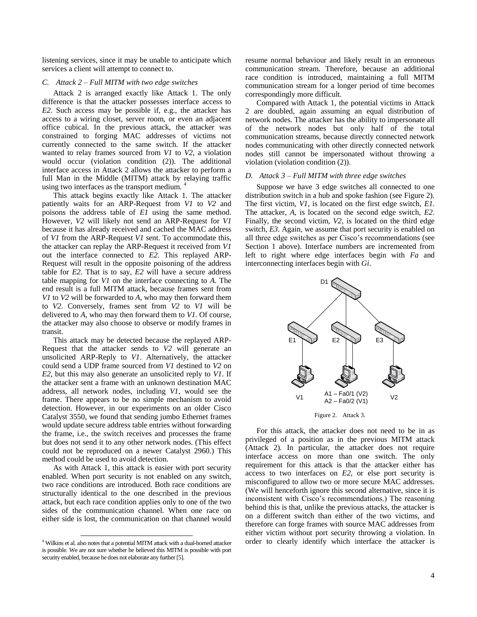listening services, since it may be unable to anticipate which services a client will attempt to connect to.

#### *C. Attack 2 – Full MITM with two edge switches*

Attack 2 is arranged exactly like Attack 1. The only difference is that the attacker possesses interface access to *E2*. Such access may be possible if, e.g., the attacker has access to a wiring closet, server room, or even an adjacent office cubical. In the previous attack, the attacker was constrained to forging MAC addresses of victims not currently connected to the same switch. If the attacker wanted to relay frames sourced from *V1* to *V2*, a violation would occur (violation condition (2)). The additional interface access in Attack 2 allows the attacker to perform a full Man in the Middle (MITM) attack by relaying traffic using two interfaces as the transport medium. <sup>4</sup>

This attack begins exactly like Attack 1. The attacker patiently waits for an ARP-Request from *V1* to *V2* and poisons the address table of *E1* using the same method. However, *V2* will likely not send an ARP-Request for *V1* because it has already received and cached the MAC address of *V1* from the ARP-Request *V1* sent. To accommodate this, the attacker can replay the ARP-Request it received from *V1* out the interface connected to *E2*. This replayed ARP-Request will result in the opposite poisoning of the address table for *E2*. That is to say, *E2* will have a secure address table mapping for *V1* on the interface connecting to *A*. The end result is a full MITM attack, because frames sent from *V1* to *V2* will be forwarded to *A,* who may then forward them to *V2*. Conversely, frames sent from *V2* to *V1* will be delivered to *A,* who may then forward them to *V1*. Of course, the attacker may also choose to observe or modify frames in transit.

This attack may be detected because the replayed ARP-Request that the attacker sends to *V2* will generate an unsolicited ARP-Reply to *V1*. Alternatively, the attacker could send a UDP frame sourced from *V1* destined to *V2* on *E2*, but this may also generate an unsolicited reply to *V1*. If the attacker sent a frame with an unknown destination MAC address, all network nodes, including *V1*, would see the frame. There appears to be no simple mechanism to avoid detection. However, in our experiments on an older Cisco Catalyst 3550, we found that sending jumbo Ethernet frames would update secure address table entries without forwarding the frame, i.e., the switch receives and processes the frame but does not send it to any other network nodes. (This effect could not be reproduced on a newer Catalyst 2960.) This method could be used to avoid detection.

As with Attack 1, this attack is easier with port security enabled. When port security is not enabled on any switch, two race conditions are introduced. Both race conditions are structurally identical to the one described in the previous attack, but each race condition applies only to one of the two sides of the communication channel. When one race on either side is lost, the communication on that channel would

l

resume normal behaviour and likely result in an erroneous communication stream. Therefore, because an additional race condition is introduced, maintaining a full MITM communication stream for a longer period of time becomes correspondingly more difficult.

Compared with Attack 1, the potential victims in Attack 2 are doubled, again assuming an equal distribution of network nodes. The attacker has the ability to impersonate all of the network nodes but only half of the total communication streams, because directly connected network nodes communicating with other directly connected network nodes still cannot be impersonated without throwing a violation (violation condition (2)).

#### *D. Attack 3 – Full MITM with three edge switches*

Suppose we have 3 edge switches all connected to one distribution switch in a hub and spoke fashion (see Figure 2). The first victim, *V1*, is located on the first edge switch, *E1*. The attacker, *A*, is located on the second edge switch, *E2*. Finally, the second victim, *V2*, is located on the third edge switch, *E3*. Again, we assume that port security is enabled on all three edge switches as per Cisco's recommendations (see Section 1 above). Interface numbers are incremented from left to right where edge interfaces begin with *Fa* and interconnecting interfaces begin with *Gi*.



For this attack, the attacker does not need to be in as privileged of a position as in the previous MITM attack (Attack 2). In particular, the attacker does not require interface access on more than one switch. The only requirement for this attack is that the attacker either has access to two interfaces on *E2*, or else port security is misconfigured to allow two or more secure MAC addresses. (We will henceforth ignore this second alternative, since it is inconsistent with Cisco's recommendations.) The reasoning behind this is that, unlike the previous attacks, the attacker is on a different switch than either of the two victims, and therefore can forge frames with source MAC addresses from either victim without port security throwing a violation. In order to clearly identify which interface the attacker is

<sup>4</sup> Wilkins et al. also notes that a potential MITM attack with a dual-homed attacker is possible. We are not sure whether he believed this MITM is possible with port security enabled, because he does not elaborate any further [5].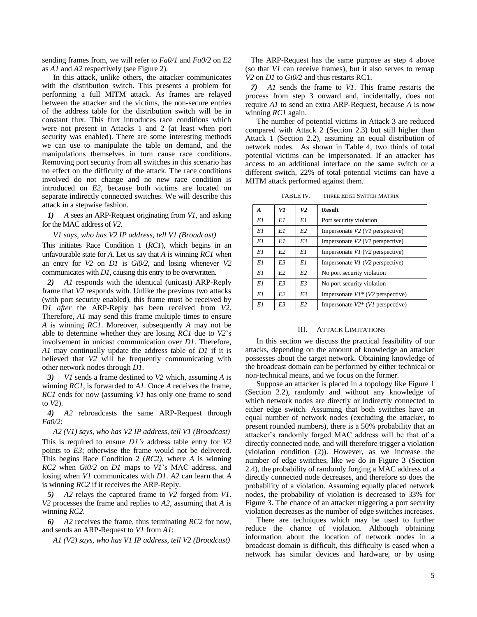sending frames from, we will refer to *Fa0/1* and *Fa0/2* on *E2* as *A1* and *A2* respectively (see Figure 2).

In this attack, unlike others, the attacker communicates with the distribution switch. This presents a problem for performing a full MITM attack. As frames are relayed between the attacker and the victims, the non-secure entries of the address table for the distribution switch will be in constant flux. This flux introduces race conditions which were not present in Attacks 1 and 2 (at least when port security was enabled). There are some interesting methods we can use to manipulate the table on demand, and the manipulations themselves in turn cause race conditions. Removing port security from all switches in this scenario has no effect on the difficulty of the attack. The race conditions involved do not change and no new race condition is introduced on *E2*, because both victims are located on separate indirectly connected switches. We will describe this attack in a stepwise fashion.

*1) A* sees an ARP-Request originating from *V1,* and asking for the MAC address of *V2.* 

## *V1 says, who has V2 IP address, tell V1 (Broadcast)*

This initiates Race Condition 1 (*RC1*), which begins in an unfavourable state for *A*. Let us say that *A* is winning *RC1* when an entry for *V2* on *D1* is *Gi0/2,* and losing whenever *V2* communicates with *D1,* causing this entry to be overwritten.

*2) A1* responds with the identical (unicast) ARP-Reply frame that *V2* responds with. Unlike the previous two attacks (with port security enabled), this frame must be received by *D1 after* the ARP-Reply has been received from *V2*. Therefore, *A1* may send this frame multiple times to ensure *A* is winning *RC1*. Moreover, subsequently *A* may not be able to determine whether they are losing *RC1* due to *V2*'s involvement in unicast communication over *D1*. Therefore, *A1* may continually update the address table of *D1* if it is believed that *V2* will be frequently communicating with other network nodes through *D1*.

*3) V1* sends a frame destined to *V2* which, assuming *A* is winning *RC1*, is forwarded to *A1*. Once *A* receives the frame, *RC1* ends for now (assuming *V1* has only one frame to send to *V2*).

*4) A2* rebroadcasts the same ARP-Request through *Fa0/2*:

*A2 (V1) says, who has V2 IP address, tell V1 (Broadcast)*

This is required to ensure *D1's* address table entry for *V2* points to *E3*; otherwise the frame would not be delivered*.*  This begins Race Condition 2 (*RC2)*, where *A* is winning *RC2* when *Gi0/2* on *D1* maps to *V1*'s MAC address, and losing when *V1* communicates with *D1*. *A2* can learn that *A* is winning *RC2* if it receives the ARP-Reply.

*5) A2* relays the captured frame to *V2* forged from *V1*. *V2* processes the frame and replies to *A2*, assuming that *A* is winning *RC2.*

*6) A2* receives the frame, thus terminating *RC2* for now, and sends an ARP-Request to *V1* from *A1*:

*A1 (V2) says, who has V1 IP address, tell V2 (Broadcast)*

The ARP-Request has the same purpose as step 4 above (so that *V1* can receive frames), but it also serves to remap *V2* on *D1* to *Gi0/2* and thus restarts RC1.

*7) A1* sends the frame to *V1*. This frame restarts the process from step 3 onward and, incidentally, does not require *A1* to send an extra ARP-Request, because *A* is now winning *RC1* again.

The number of potential victims in Attack 3 are reduced compared with Attack 2 (Section 2.3) but still higher than Attack 1 (Section 2.2), assuming an equal distribution of network nodes. As shown in Table 4, two thirds of total potential victims can be impersonated. If an attacker has access to an additional interface on the same switch or a different switch, 22% of total potential victims can have a MITM attack performed against them.

TABLE IV. THREE EDGE SWITCH MATRIX

| A  | V1 | V <sub>2</sub> | <b>Result</b>                          |
|----|----|----------------|----------------------------------------|
| E1 | E1 | E1             | Port security violation                |
| E1 | E1 | E2             | Impersonate V2 (V1 perspective)        |
| E1 | E1 | E3             | Impersonate V2 (V1 perspective)        |
| E1 | E2 | E1             | Impersonate $VI$ ( $V2$ perspective)   |
| E1 | E3 | E1             | Impersonate V1 (V2 perspective)        |
| E1 | E2 | E2             | No port security violation             |
| E1 | E3 | E3             | No port security violation             |
| E1 | E2 | E3             | Impersonate $VI^*$ ( $V2$ perspective) |
| E1 | E3 | E2             | Impersonate $V2^*$ (V1 perspective)    |

#### III. ATTACK LIMITATIONS

In this section we discuss the practical feasibility of our attacks, depending on the amount of knowledge an attacker possesses about the target network. Obtaining knowledge of the broadcast domain can be performed by either technical or non-technical means, and we focus on the former.

Suppose an attacker is placed in a topology like Figure 1 (Section 2.2), randomly and without any knowledge of which network nodes are directly or indirectly connected to either edge switch. Assuming that both switches have an equal number of network nodes (excluding the attacker, to present rounded numbers), there is a 50% probability that an attacker's randomly forged MAC address will be that of a directly connected node, and will therefore trigger a violation (violation condition (2)). However, as we increase the number of edge switches, like we do in Figure 3 (Section 2.4), the probability of randomly forging a MAC address of a directly connected node decreases, and therefore so does the probability of a violation. Assuming equally placed network nodes, the probability of violation is decreased to 33% for Figure 3. The chance of an attacker triggering a port security violation decreases as the number of edge switches increases.

There are techniques which may be used to further reduce the chance of violation. Although obtaining information about the location of network nodes in a broadcast domain is difficult, this difficulty is eased when a network has similar devices and hardware, or by using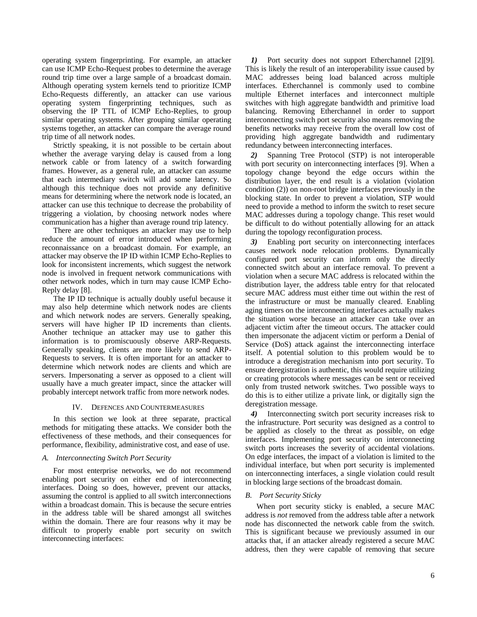operating system fingerprinting. For example, an attacker can use ICMP Echo-Request probes to determine the average round trip time over a large sample of a broadcast domain. Although operating system kernels tend to prioritize ICMP Echo-Requests differently, an attacker can use various operating system fingerprinting techniques, such as observing the IP TTL of ICMP Echo-Replies, to group similar operating systems. After grouping similar operating systems together, an attacker can compare the average round trip time of all network nodes.

Strictly speaking, it is not possible to be certain about whether the average varying delay is caused from a long network cable or from latency of a switch forwarding frames. However, as a general rule, an attacker can assume that each intermediary switch will add some latency. So although this technique does not provide any definitive means for determining where the network node is located, an attacker can use this technique to decrease the probability of triggering a violation, by choosing network nodes where communication has a higher than average round trip latency.

There are other techniques an attacker may use to help reduce the amount of error introduced when performing reconnaissance on a broadcast domain. For example, an attacker may observe the IP ID within ICMP Echo-Replies to look for inconsistent increments, which suggest the network node is involved in frequent network communications with other network nodes, which in turn may cause ICMP Echo-Reply delay [8].

The IP ID technique is actually doubly useful because it may also help determine which network nodes are clients and which network nodes are servers. Generally speaking, servers will have higher IP ID increments than clients. Another technique an attacker may use to gather this information is to promiscuously observe ARP-Requests. Generally speaking, clients are more likely to send ARP-Requests to servers. It is often important for an attacker to determine which network nodes are clients and which are servers. Impersonating a server as opposed to a client will usually have a much greater impact, since the attacker will probably intercept network traffic from more network nodes.

#### IV. DEFENCES AND COUNTERMEASURES

In this section we look at three separate, practical methods for mitigating these attacks. We consider both the effectiveness of these methods, and their consequences for performance, flexibility, administrative cost, and ease of use.

#### *A. Interconnecting Switch Port Security*

For most enterprise networks, we do not recommend enabling port security on either end of interconnecting interfaces. Doing so does, however, prevent our attacks, assuming the control is applied to all switch interconnections within a broadcast domain. This is because the secure entries in the address table will be shared amongst all switches within the domain. There are four reasons why it may be difficult to properly enable port security on switch interconnecting interfaces:

*1)* Port security does not support Etherchannel [2][9]. This is likely the result of an interoperability issue caused by MAC addresses being load balanced across multiple interfaces. Etherchannel is commonly used to combine multiple Ethernet interfaces and interconnect multiple switches with high aggregate bandwidth and primitive load balancing. Removing Etherchannel in order to support interconnecting switch port security also means removing the benefits networks may receive from the overall low cost of providing high aggregate bandwidth and rudimentary redundancy between interconnecting interfaces.

*2)* Spanning Tree Protocol (STP) is not interoperable with port security on interconnecting interfaces [9]. When a topology change beyond the edge occurs within the distribution layer, the end result is a violation (violation condition (2)) on non-root bridge interfaces previously in the blocking state. In order to prevent a violation, STP would need to provide a method to inform the switch to reset secure MAC addresses during a topology change. This reset would be difficult to do without potentially allowing for an attack during the topology reconfiguration process.

*3)* Enabling port security on interconnecting interfaces causes network node relocation problems. Dynamically configured port security can inform only the directly connected switch about an interface removal. To prevent a violation when a secure MAC address is relocated within the distribution layer, the address table entry for that relocated secure MAC address must either time out within the rest of the infrastructure or must be manually cleared. Enabling aging timers on the interconnecting interfaces actually makes the situation worse because an attacker can take over an adjacent victim after the timeout occurs. The attacker could then impersonate the adjacent victim or perform a Denial of Service (DoS) attack against the interconnecting interface itself. A potential solution to this problem would be to introduce a deregistration mechanism into port security. To ensure deregistration is authentic, this would require utilizing or creating protocols where messages can be sent or received only from trusted network switches. Two possible ways to do this is to either utilize a private link, or digitally sign the deregistration message.

*4)* Interconnecting switch port security increases risk to the infrastructure. Port security was designed as a control to be applied as closely to the threat as possible, on edge interfaces. Implementing port security on interconnecting switch ports increases the severity of accidental violations. On edge interfaces, the impact of a violation is limited to the individual interface, but when port security is implemented on interconnecting interfaces, a single violation could result in blocking large sections of the broadcast domain.

#### *B. Port Security Sticky*

When port security sticky is enabled, a secure MAC address is *not* removed from the address table after a network node has disconnected the network cable from the switch. This is significant because we previously assumed in our attacks that, if an attacker already registered a secure MAC address, then they were capable of removing that secure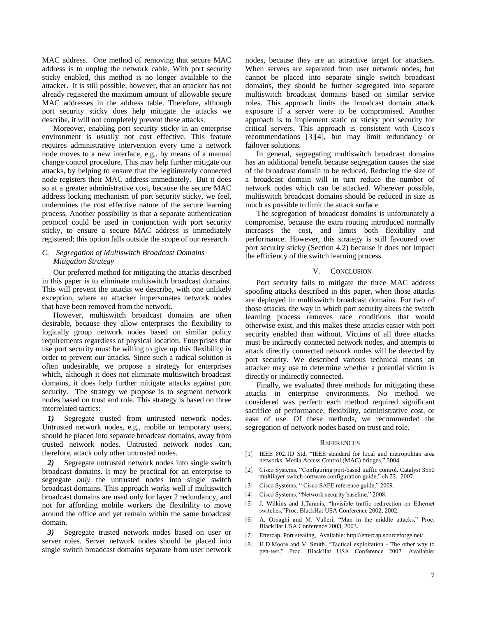MAC address. One method of removing that secure MAC address is to unplug the network cable. With port security sticky enabled, this method is no longer available to the attacker. It is still possible, however, that an attacker has not already registered the maximum amount of allowable secure MAC addresses in the address table. Therefore, although port security sticky does help mitigate the attacks we describe, it will not completely prevent these attacks.

Moreover, enabling port security sticky in an enterprise environment is usually not cost effective. This feature requires administrative intervention every time a network node moves to a new interface, e.g., by means of a manual change control procedure. This may help further mitigate our attacks, by helping to ensure that the legitimately connected node registers their MAC address immediately. But it does so at a greater administrative cost, because the secure MAC address locking mechanism of port security sticky, we feel, undermines the cost effective nature of the secure learning process. Another possibility is that a separate authentication protocol could be used in conjunction with port security sticky, to ensure a secure MAC address is immediately registered; this option falls outside the scope of our research.

## *C. Segregation of Multiswitch Broadcast Domains Mitigation Strategy*

Our preferred method for mitigating the attacks described in this paper is to eliminate multiswitch broadcast domains. This will prevent the attacks we describe, with one unlikely exception, where an attacker impersonates network nodes that have been removed from the network.

However, multiswitch broadcast domains are often desirable, because they allow enterprises the flexibility to logically group network nodes based on similar policy requirements regardless of physical location. Enterprises that use port security must be willing to give up this flexibility in order to prevent our attacks. Since such a radical solution is often undesirable, we propose a strategy for enterprises which, although it does not eliminate multiswitch broadcast domains, it does help further mitigate attacks against port security. The strategy we propose is to segment network nodes based on trust and role. This strategy is based on three interrelated tactics:

*1)* Segregate trusted from untrusted network nodes. Untrusted network nodes, e.g., mobile or temporary users, should be placed into separate broadcast domains, away from trusted network nodes. Untrusted network nodes can, therefore, attack only other untrusted nodes.

*2)* Segregate untrusted network nodes into single switch broadcast domains. It may be practical for an enterprise to segregate *only* the untrusted nodes into single switch broadcast domains. This approach works well if multiswitch broadcast domains are used only for layer 2 redundancy, and not for affording mobile workers the flexibility to move around the office and yet remain within the same broadcast domain.

*3)* Segregate trusted network nodes based on user or server roles. Server network nodes should be placed into single switch broadcast domains separate from user network nodes, because they are an attractive target for attackers. When servers are separated from user network nodes, but cannot be placed into separate single switch broadcast domains, they should be further segregated into separate multiswitch broadcast domains based on similar service roles. This approach limits the broadcast domain attack exposure if a server were to be compromised. Another approach is to implement static or sticky port security for critical servers. This approach is consistent with Cisco's recommendations [3][4], but may limit redundancy or failover solutions.

In general, segregating multiswitch broadcast domains has an additional benefit because segregation causes the size of the broadcast domain to be reduced. Reducing the size of a broadcast domain will in turn reduce the number of network nodes which can be attacked. Wherever possible, multiswitch broadcast domains should be reduced in size as much as possible to limit the attack surface.

The segregation of broadcast domains is unfortunately a compromise, because the extra routing introduced normally increases the cost, and limits both flexibility and performance. However, this strategy is still favoured over port security sticky (Section 4.2) because it does not impact the efficiency of the switch learning process.

#### V. CONCLUSION

Port security fails to mitigate the three MAC address spoofing attacks described in this paper, when those attacks are deployed in multiswitch broadcast domains. For two of those attacks, the way in which port security alters the switch learning process removes race conditions that would otherwise exist, and this makes these attacks easier with port security enabled than without. Victims of all three attacks must be indirectly connected network nodes, and attempts to attack directly connected network nodes will be detected by port security. We described various technical means an attacker may use to determine whether a potential victim is directly or indirectly connected.

Finally, we evaluated three methods for mitigating these attacks in enterprise environments. No method we considered was perfect: each method required significant sacrifice of performance, flexibility, administrative cost, or ease of use. Of these methods, we recommended the segregation of network nodes based on trust and role.

#### **REFERENCES**

- [1] IEEE 802.1D Std, "IEEE standard for local and metropolitan area networks. Media Access Control (MAC) bridges," 2004*.*
- [2] Cisco Systems, "Configuring port-based traffic control. Catalyst 3550 multilayer switch software configuration guide," ch 22, 2007.
- [3] Cisco Systems, " Cisco SAFE reference guide," 2009.
- [4] Cisco Systems, "Network security baseline," 2008.
- [5] J. Wilkins and J.Taranis, "Invisible traffic redirection on Ethernet switches,"Proc. BlackHat USA Conference 2002, 2002.
- [6] A. Ornaghi and M. Valleri, "Man in the middle attacks," Proc. BlackHat USA Conference 2003, 2003.
- [7] Ettercap. Port stealing, Available: http://ettercap.sourceforge.net/
- [8] H.D.Moore and V. Smith, "Tactical exploitation The other way to pen-test," Proc. BlackHat USA Conference 2007. Available: